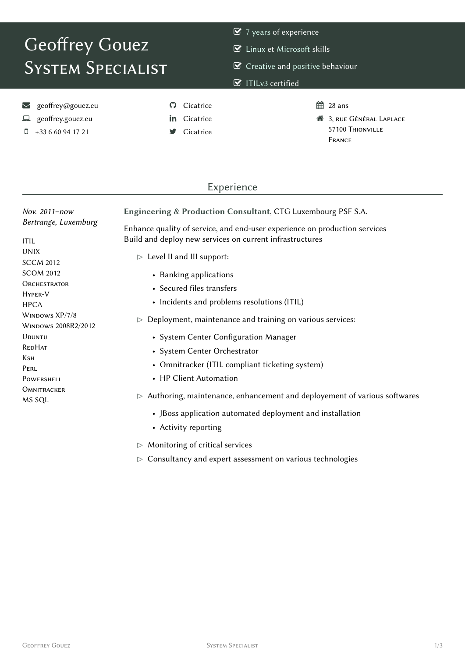# Geoffrey Gouez **SYSTEM SPECIALIST**

- $\triangleright$  Linux et Microsoft skills
- $\mathcal G$  Creative and positive behaviour

#### $\triangledown$  ITILv3 certified

- seoffrey@gouez.eu
- geoffrey.gouez.eu
- $\Box$  +33 6 60 94 17 21
- **O** Cicatrice
- in Cicatrice
- Cicatrice
- $\frac{6}{28}$  28 ans
- **3**, RUE GÉNÉRAL LAPLACE 57100 THIONVILLE **FRANCE**

#### Experience

| Nov. 2011-now                                | Engineering & Production Consultant, CTG Luxembourg PSF S.A.               |  |  |
|----------------------------------------------|----------------------------------------------------------------------------|--|--|
| Bertrange, Luxemburg                         | Enhance quality of service, and end-user experience on production services |  |  |
| <b>ITIL</b>                                  | Build and deploy new services on current infrastructures                   |  |  |
| <b>UNIX</b><br><b>SCCM 2012</b>              | $\triangleright$ Level II and III support:                                 |  |  |
| <b>SCOM 2012</b>                             | • Banking applications                                                     |  |  |
| <b>ORCHESTRATOR</b><br>HYPER-V               | • Secured files transfers                                                  |  |  |
| <b>HPCA</b>                                  | • Incidents and problems resolutions (ITIL)                                |  |  |
| WINDOWS XP/7/8<br><b>WINDOWS 2008R2/2012</b> | Deployment, maintenance and training on various services:                  |  |  |
| <b>UBUNTU</b>                                | • System Center Configuration Manager                                      |  |  |
| <b>REDHAT</b>                                | • System Center Orchestrator                                               |  |  |
| Ksн<br>PERL                                  | • Omnitracker (ITIL compliant ticketing system)                            |  |  |
| POWERSHELL                                   | • HP Client Automation                                                     |  |  |
| <b>OMNITRACKER</b><br>MS SQL                 | Authoring, maintenance, enhancement and deployement of various softwares   |  |  |
|                                              | • JBoss application automated deployment and installation                  |  |  |
|                                              | • Activity reporting                                                       |  |  |

- $\triangleright$  Monitoring of critical services
- $\triangleright$  Consultancy and expert assessment on various technologies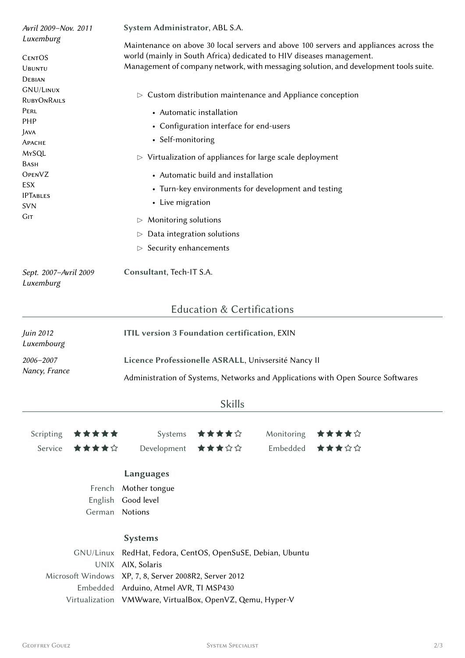| Luxemburg                          |                                                            |                                                                                                                                                                                            |                                                                                      |            |       |  |                                                                                                                                                               |  |
|------------------------------------|------------------------------------------------------------|--------------------------------------------------------------------------------------------------------------------------------------------------------------------------------------------|--------------------------------------------------------------------------------------|------------|-------|--|---------------------------------------------------------------------------------------------------------------------------------------------------------------|--|
|                                    |                                                            | Maintenance on above 30 local servers and above 100 servers and appliances across the<br>world (mainly in South Africa) dedicated to HIV diseases management.                              |                                                                                      |            |       |  |                                                                                                                                                               |  |
| <b>CENTOS</b>                      |                                                            |                                                                                                                                                                                            |                                                                                      |            |       |  |                                                                                                                                                               |  |
| <b>UBUNTU</b><br>DEBIAN            |                                                            |                                                                                                                                                                                            | Management of company network, with messaging solution, and development tools suite. |            |       |  |                                                                                                                                                               |  |
| <b>GNU/LINUX</b>                   |                                                            |                                                                                                                                                                                            |                                                                                      |            |       |  |                                                                                                                                                               |  |
| RUBYONRAILS                        |                                                            |                                                                                                                                                                                            | $\triangleright$ Custom distribution maintenance and Appliance conception            |            |       |  |                                                                                                                                                               |  |
| PERL                               |                                                            | • Automatic installation<br>• Configuration interface for end-users                                                                                                                        |                                                                                      |            |       |  |                                                                                                                                                               |  |
| PHP                                |                                                            |                                                                                                                                                                                            |                                                                                      |            |       |  |                                                                                                                                                               |  |
| Java                               |                                                            | • Self-monitoring<br>$\triangleright$ Virtualization of appliances for large scale deployment<br>• Automatic build and installation<br>• Turn-key environments for development and testing |                                                                                      |            |       |  |                                                                                                                                                               |  |
| Арасне                             |                                                            |                                                                                                                                                                                            |                                                                                      |            |       |  |                                                                                                                                                               |  |
| MYSQL                              |                                                            |                                                                                                                                                                                            |                                                                                      |            |       |  |                                                                                                                                                               |  |
| Bash<br><b>OPENVZ</b>              |                                                            |                                                                                                                                                                                            |                                                                                      |            |       |  |                                                                                                                                                               |  |
| ESX                                |                                                            |                                                                                                                                                                                            |                                                                                      |            |       |  |                                                                                                                                                               |  |
| <b>IPTABLES</b>                    |                                                            |                                                                                                                                                                                            |                                                                                      |            |       |  |                                                                                                                                                               |  |
| <b>SVN</b>                         |                                                            | • Live migration                                                                                                                                                                           |                                                                                      |            |       |  |                                                                                                                                                               |  |
| Gіт                                |                                                            | Monitoring solutions<br>▷                                                                                                                                                                  |                                                                                      |            |       |  |                                                                                                                                                               |  |
|                                    |                                                            | $\triangleright$                                                                                                                                                                           | Data integration solutions                                                           |            |       |  |                                                                                                                                                               |  |
|                                    |                                                            | Security enhancements<br>$\triangleright$                                                                                                                                                  |                                                                                      |            |       |  |                                                                                                                                                               |  |
| Sept. 2007-Avril 2009<br>Luxemburg |                                                            | Consultant, Tech-IT S.A.                                                                                                                                                                   |                                                                                      |            |       |  |                                                                                                                                                               |  |
|                                    |                                                            |                                                                                                                                                                                            | <b>Education &amp; Certifications</b>                                                |            |       |  |                                                                                                                                                               |  |
|                                    |                                                            |                                                                                                                                                                                            |                                                                                      |            |       |  |                                                                                                                                                               |  |
| Luxembourg                         | ITIL version 3 Foundation certification, EXIN<br>Juin 2012 |                                                                                                                                                                                            |                                                                                      |            |       |  |                                                                                                                                                               |  |
| 2006-2007<br>Nancy, France         |                                                            | Licence Professionelle ASRALL, Univsersité Nancy II                                                                                                                                        |                                                                                      |            |       |  |                                                                                                                                                               |  |
|                                    |                                                            | Administration of Systems, Networks and Applications with Open Source Softwares                                                                                                            |                                                                                      |            |       |  |                                                                                                                                                               |  |
|                                    |                                                            |                                                                                                                                                                                            | <b>Skills</b>                                                                        |            |       |  |                                                                                                                                                               |  |
| Scripting                          | *****                                                      | Systems                                                                                                                                                                                    | ★★★★☆                                                                                | Monitoring | ★★★★☆ |  |                                                                                                                                                               |  |
| Service                            | ★★★★☆                                                      | Development                                                                                                                                                                                | ★★★☆☆                                                                                | Embedded   | ★★★☆☆ |  |                                                                                                                                                               |  |
|                                    |                                                            |                                                                                                                                                                                            |                                                                                      |            |       |  |                                                                                                                                                               |  |
|                                    |                                                            | <b>Languages</b>                                                                                                                                                                           |                                                                                      |            |       |  |                                                                                                                                                               |  |
|                                    | French                                                     | Mother tongue                                                                                                                                                                              |                                                                                      |            |       |  |                                                                                                                                                               |  |
|                                    | English                                                    | Good level                                                                                                                                                                                 |                                                                                      |            |       |  |                                                                                                                                                               |  |
|                                    | German                                                     | Notions                                                                                                                                                                                    |                                                                                      |            |       |  |                                                                                                                                                               |  |
|                                    |                                                            | <b>Systems</b>                                                                                                                                                                             |                                                                                      |            |       |  |                                                                                                                                                               |  |
| GNU/Linux<br>UNIX                  |                                                            | RedHat, Fedora, CentOS, OpenSuSE, Debian, Ubuntu<br>AIX, Solaris                                                                                                                           |                                                                                      |            |       |  |                                                                                                                                                               |  |
|                                    |                                                            |                                                                                                                                                                                            |                                                                                      |            |       |  | Microsoft Windows XP, 7, 8, Server 2008R2, Server 2012<br>Embedded Arduino, Atmel AVR, TI MSP430<br>Virtualization VMWware, VirtualBox, OpenVZ, Qemu, Hyper-V |  |